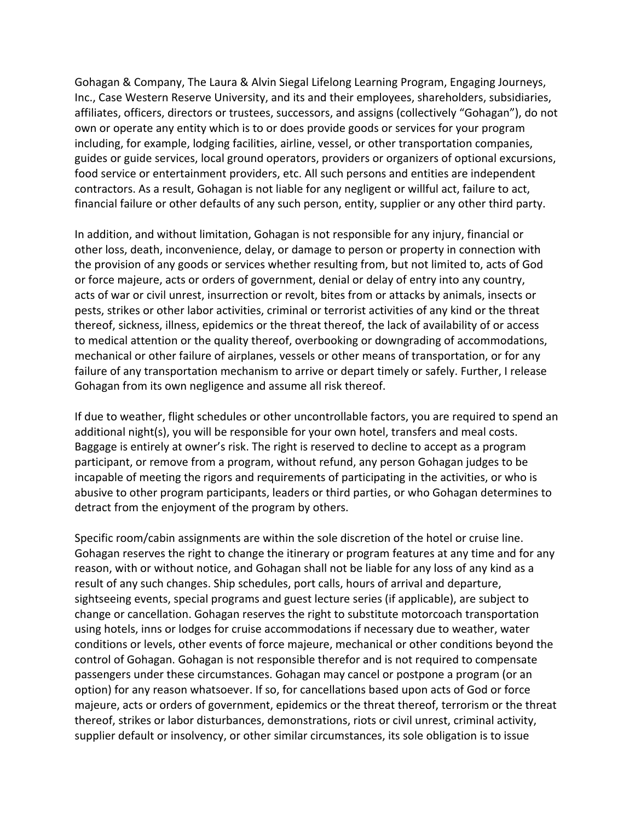Gohagan & Company, The Laura & Alvin Siegal Lifelong Learning Program, Engaging Journeys, Inc., Case Western Reserve University, and its and their employees, shareholders, subsidiaries, affiliates, officers, directors or trustees, successors, and assigns (collectively "Gohagan"), do not own or operate any entity which is to or does provide goods or services for your program including, for example, lodging facilities, airline, vessel, or other transportation companies, guides or guide services, local ground operators, providers or organizers of optional excursions, food service or entertainment providers, etc. All such persons and entities are independent contractors. As a result, Gohagan is not liable for any negligent or willful act, failure to act, financial failure or other defaults of any such person, entity, supplier or any other third party.

In addition, and without limitation, Gohagan is not responsible for any injury, financial or other loss, death, inconvenience, delay, or damage to person or property in connection with the provision of any goods or services whether resulting from, but not limited to, acts of God or force majeure, acts or orders of government, denial or delay of entry into any country, acts of war or civil unrest, insurrection or revolt, bites from or attacks by animals, insects or pests, strikes or other labor activities, criminal or terrorist activities of any kind or the threat thereof, sickness, illness, epidemics or the threat thereof, the lack of availability of or access to medical attention or the quality thereof, overbooking or downgrading of accommodations, mechanical or other failure of airplanes, vessels or other means of transportation, or for any failure of any transportation mechanism to arrive or depart timely or safely. Further, I release Gohagan from its own negligence and assume all risk thereof.

If due to weather, flight schedules or other uncontrollable factors, you are required to spend an additional night(s), you will be responsible for your own hotel, transfers and meal costs. Baggage is entirely at owner's risk. The right is reserved to decline to accept as a program participant, or remove from a program, without refund, any person Gohagan judges to be incapable of meeting the rigors and requirements of participating in the activities, or who is abusive to other program participants, leaders or third parties, or who Gohagan determines to detract from the enjoyment of the program by others.

Specific room/cabin assignments are within the sole discretion of the hotel or cruise line. Gohagan reserves the right to change the itinerary or program features at any time and for any reason, with or without notice, and Gohagan shall not be liable for any loss of any kind as a result of any such changes. Ship schedules, port calls, hours of arrival and departure, sightseeing events, special programs and guest lecture series (if applicable), are subject to change or cancellation. Gohagan reserves the right to substitute motorcoach transportation using hotels, inns or lodges for cruise accommodations if necessary due to weather, water conditions or levels, other events of force majeure, mechanical or other conditions beyond the control of Gohagan. Gohagan is not responsible therefor and is not required to compensate passengers under these circumstances. Gohagan may cancel or postpone a program (or an option) for any reason whatsoever. If so, for cancellations based upon acts of God or force majeure, acts or orders of government, epidemics or the threat thereof, terrorism or the threat thereof, strikes or labor disturbances, demonstrations, riots or civil unrest, criminal activity, supplier default or insolvency, or other similar circumstances, its sole obligation is to issue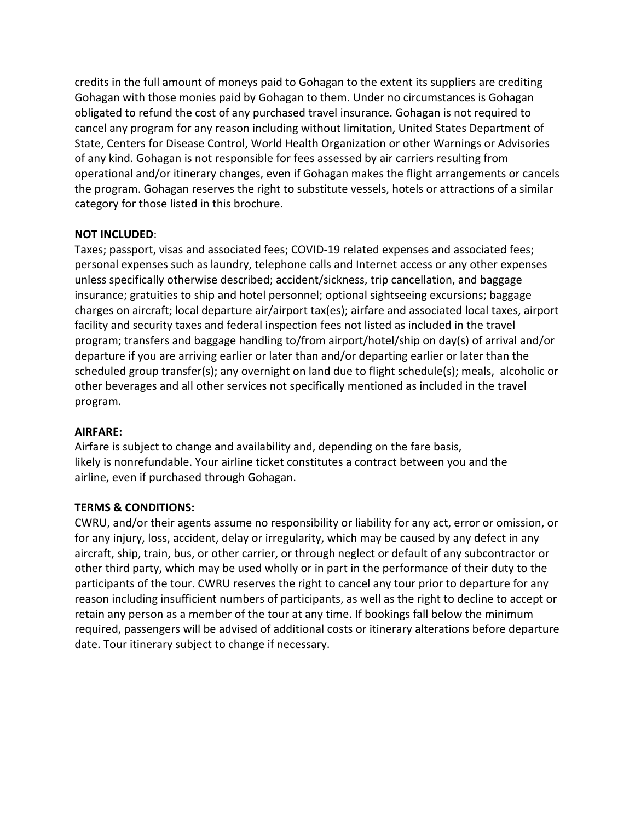credits in the full amount of moneys paid to Gohagan to the extent its suppliers are crediting Gohagan with those monies paid by Gohagan to them. Under no circumstances is Gohagan obligated to refund the cost of any purchased travel insurance. Gohagan is not required to cancel any program for any reason including without limitation, United States Department of State, Centers for Disease Control, World Health Organization or other Warnings or Advisories of any kind. Gohagan is not responsible for fees assessed by air carriers resulting from operational and/or itinerary changes, even if Gohagan makes the flight arrangements or cancels the program. Gohagan reserves the right to substitute vessels, hotels or attractions of a similar category for those listed in this brochure.

### **NOT INCLUDED**:

Taxes; passport, visas and associated fees; COVID-19 related expenses and associated fees; personal expenses such as laundry, telephone calls and Internet access or any other expenses unless specifically otherwise described; accident/sickness, trip cancellation, and baggage insurance; gratuities to ship and hotel personnel; optional sightseeing excursions; baggage charges on aircraft; local departure air/airport tax(es); airfare and associated local taxes, airport facility and security taxes and federal inspection fees not listed as included in the travel program; transfers and baggage handling to/from airport/hotel/ship on day(s) of arrival and/or departure if you are arriving earlier or later than and/or departing earlier or later than the scheduled group transfer(s); any overnight on land due to flight schedule(s); meals, alcoholic or other beverages and all other services not specifically mentioned as included in the travel program.

### **AIRFARE:**

Airfare is subject to change and availability and, depending on the fare basis, likely is nonrefundable. Your airline ticket constitutes a contract between you and the airline, even if purchased through Gohagan.

# **TERMS & CONDITIONS:**

CWRU, and/or their agents assume no responsibility or liability for any act, error or omission, or for any injury, loss, accident, delay or irregularity, which may be caused by any defect in any aircraft, ship, train, bus, or other carrier, or through neglect or default of any subcontractor or other third party, which may be used wholly or in part in the performance of their duty to the participants of the tour. CWRU reserves the right to cancel any tour prior to departure for any reason including insufficient numbers of participants, as well as the right to decline to accept or retain any person as a member of the tour at any time. If bookings fall below the minimum required, passengers will be advised of additional costs or itinerary alterations before departure date. Tour itinerary subject to change if necessary.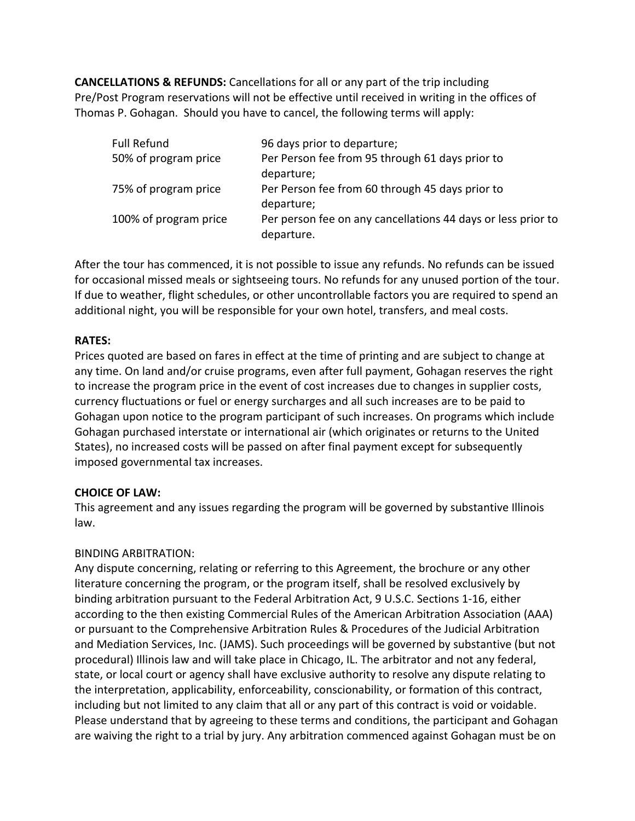**CANCELLATIONS & REFUNDS:** Cancellations for all or any part of the trip including Pre/Post Program reservations will not be effective until received in writing in the offices of Thomas P. Gohagan. Should you have to cancel, the following terms will apply:

| 96 days prior to departure;                                                |
|----------------------------------------------------------------------------|
| Per Person fee from 95 through 61 days prior to                            |
| departure;                                                                 |
| Per Person fee from 60 through 45 days prior to                            |
| departure;                                                                 |
| Per person fee on any cancellations 44 days or less prior to<br>departure. |
|                                                                            |

After the tour has commenced, it is not possible to issue any refunds. No refunds can be issued for occasional missed meals or sightseeing tours. No refunds for any unused portion of the tour. If due to weather, flight schedules, or other uncontrollable factors you are required to spend an additional night, you will be responsible for your own hotel, transfers, and meal costs.

# **RATES:**

Prices quoted are based on fares in effect at the time of printing and are subject to change at any time. On land and/or cruise programs, even after full payment, Gohagan reserves the right to increase the program price in the event of cost increases due to changes in supplier costs, currency fluctuations or fuel or energy surcharges and all such increases are to be paid to Gohagan upon notice to the program participant of such increases. On programs which include Gohagan purchased interstate or international air (which originates or returns to the United States), no increased costs will be passed on after final payment except for subsequently imposed governmental tax increases.

# **CHOICE OF LAW:**

This agreement and any issues regarding the program will be governed by substantive Illinois law.

# BINDING ARBITRATION:

Any dispute concerning, relating or referring to this Agreement, the brochure or any other literature concerning the program, or the program itself, shall be resolved exclusively by binding arbitration pursuant to the Federal Arbitration Act, 9 U.S.C. Sections 1-16, either according to the then existing Commercial Rules of the American Arbitration Association (AAA) or pursuant to the Comprehensive Arbitration Rules & Procedures of the Judicial Arbitration and Mediation Services, Inc. (JAMS). Such proceedings will be governed by substantive (but not procedural) Illinois law and will take place in Chicago, IL. The arbitrator and not any federal, state, or local court or agency shall have exclusive authority to resolve any dispute relating to the interpretation, applicability, enforceability, conscionability, or formation of this contract, including but not limited to any claim that all or any part of this contract is void or voidable. Please understand that by agreeing to these terms and conditions, the participant and Gohagan are waiving the right to a trial by jury. Any arbitration commenced against Gohagan must be on